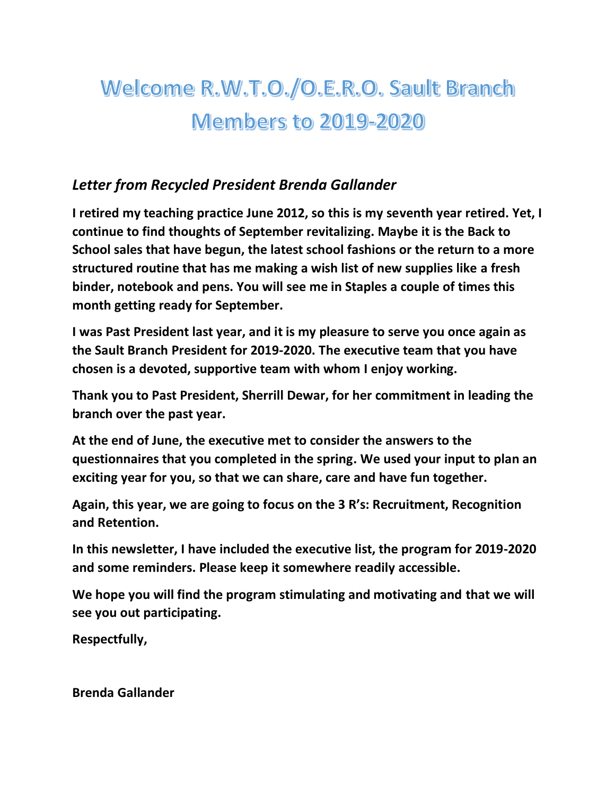# Welcome R.W.T.O./O.E.R.O. Sault Branch **Members to 2019-2020**

#### *Letter from Recycled President Brenda Gallander*

**I retired my teaching practice June 2012, so this is my seventh year retired. Yet, I continue to find thoughts of September revitalizing. Maybe it is the Back to School sales that have begun, the latest school fashions or the return to a more structured routine that has me making a wish list of new supplies like a fresh binder, notebook and pens. You will see me in Staples a couple of times this month getting ready for September.**

**I was Past President last year, and it is my pleasure to serve you once again as the Sault Branch President for 2019-2020. The executive team that you have chosen is a devoted, supportive team with whom I enjoy working.**

**Thank you to Past President, Sherrill Dewar, for her commitment in leading the branch over the past year.**

**At the end of June, the executive met to consider the answers to the questionnaires that you completed in the spring. We used your input to plan an exciting year for you, so that we can share, care and have fun together.**

**Again, this year, we are going to focus on the 3 R's: Recruitment, Recognition and Retention.**

**In this newsletter, I have included the executive list, the program for 2019-2020 and some reminders. Please keep it somewhere readily accessible.**

**We hope you will find the program stimulating and motivating and that we will see you out participating.**

**Respectfully,**

**Brenda Gallander**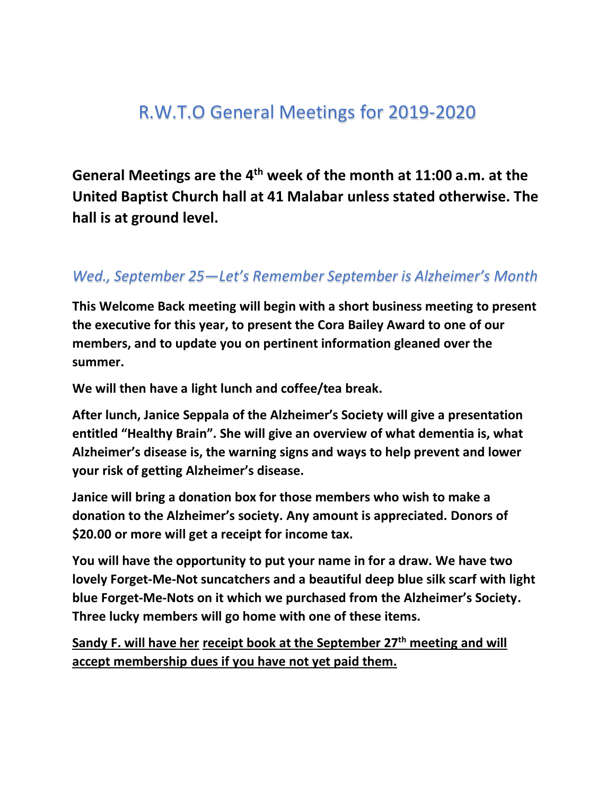### R.W.T.O General Meetings for 2019-2020

**General Meetings are the 4th week of the month at 11:00 a.m. at the United Baptist Church hall at 41 Malabar unless stated otherwise. The hall is at ground level.**

#### *Wed., September 25—Let's Remember September is Alzheimer's Month*

**This Welcome Back meeting will begin with a short business meeting to present the executive for this year, to present the Cora Bailey Award to one of our members, and to update you on pertinent information gleaned over the summer.**

**We will then have a light lunch and coffee/tea break.**

**After lunch, Janice Seppala of the Alzheimer's Society will give a presentation entitled "Healthy Brain". She will give an overview of what dementia is, what Alzheimer's disease is, the warning signs and ways to help prevent and lower your risk of getting Alzheimer's disease.** 

**Janice will bring a donation box for those members who wish to make a donation to the Alzheimer's society. Any amount is appreciated. Donors of \$20.00 or more will get a receipt for income tax.**

**You will have the opportunity to put your name in for a draw. We have two lovely Forget-Me-Not suncatchers and a beautiful deep blue silk scarf with light blue Forget-Me-Nots on it which we purchased from the Alzheimer's Society. Three lucky members will go home with one of these items.**

**Sandy F. will have her receipt book at the September 27th meeting and will accept membership dues if you have not yet paid them.**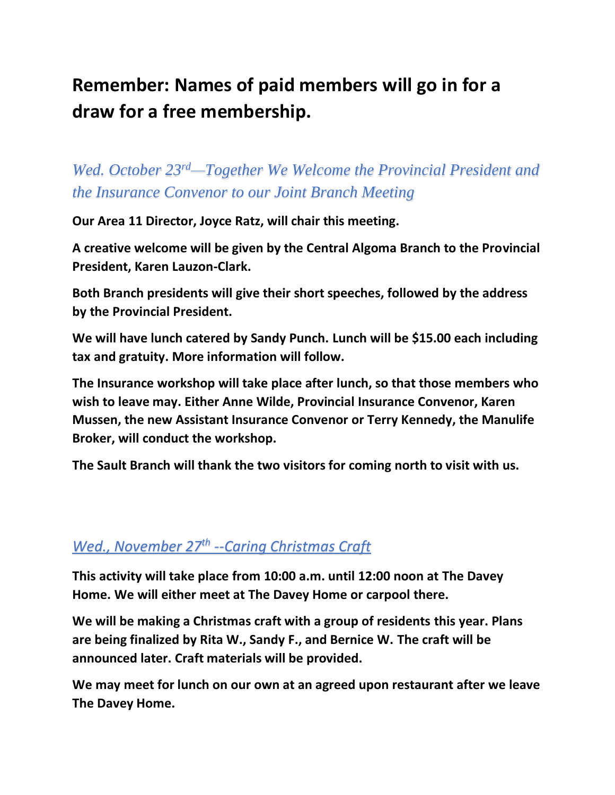### **Remember: Names of paid members will go in for a draw for a free membership.**

*Wed. October 23rd—Together We Welcome the Provincial President and the Insurance Convenor to our Joint Branch Meeting*

**Our Area 11 Director, Joyce Ratz, will chair this meeting.**

**A creative welcome will be given by the Central Algoma Branch to the Provincial President, Karen Lauzon-Clark.** 

**Both Branch presidents will give their short speeches, followed by the address by the Provincial President.**

**We will have lunch catered by Sandy Punch. Lunch will be \$15.00 each including tax and gratuity. More information will follow.**

**The Insurance workshop will take place after lunch, so that those members who wish to leave may. Either Anne Wilde, Provincial Insurance Convenor, Karen Mussen, the new Assistant Insurance Convenor or Terry Kennedy, the Manulife Broker, will conduct the workshop.**

**The Sault Branch will thank the two visitors for coming north to visit with us.**

#### *Wed., November 27th --Caring Christmas Craft*

**This activity will take place from 10:00 a.m. until 12:00 noon at The Davey Home. We will either meet at The Davey Home or carpool there.**

**We will be making a Christmas craft with a group of residents this year. Plans are being finalized by Rita W., Sandy F., and Bernice W. The craft will be announced later. Craft materials will be provided.**

**We may meet for lunch on our own at an agreed upon restaurant after we leave The Davey Home.**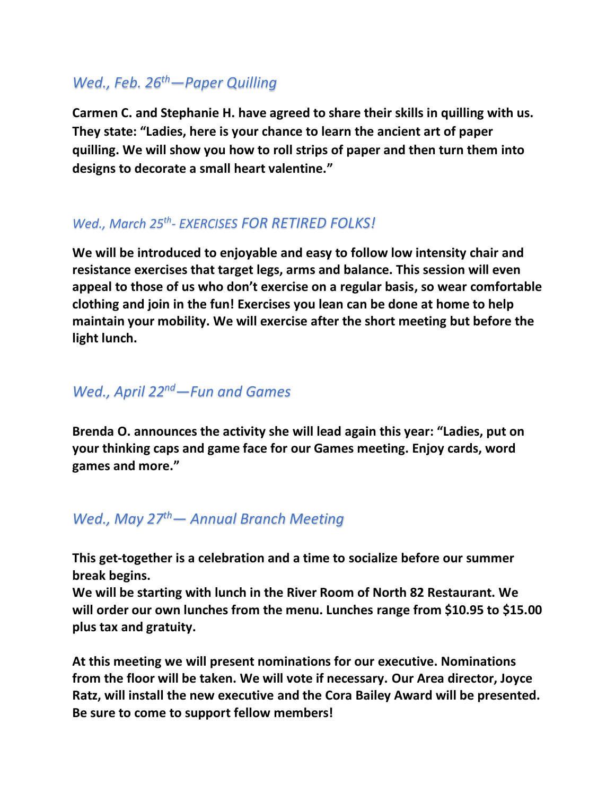#### *Wed., Feb. 26th—Paper Quilling*

**Carmen C. and Stephanie H. have agreed to share their skills in quilling with us. They state: "Ladies, here is your chance to learn the ancient art of paper quilling. We will show you how to roll strips of paper and then turn them into designs to decorate a small heart valentine."**

#### *Wed., March 25th - EXERCISES FOR RETIRED FOLKS!*

**We will be introduced to enjoyable and easy to follow low intensity chair and resistance exercises that target legs, arms and balance. This session will even appeal to those of us who don't exercise on a regular basis, so wear comfortable clothing and join in the fun! Exercises you lean can be done at home to help maintain your mobility. We will exercise after the short meeting but before the light lunch.**

#### *Wed., April 22nd—Fun and Games*

**Brenda O. announces the activity she will lead again this year: "Ladies, put on your thinking caps and game face for our Games meeting. Enjoy cards, word games and more."**

#### *Wed., May 27th— Annual Branch Meeting*

**This get-together is a celebration and a time to socialize before our summer break begins.**

**We will be starting with lunch in the River Room of North 82 Restaurant. We will order our own lunches from the menu. Lunches range from \$10.95 to \$15.00 plus tax and gratuity.**

**At this meeting we will present nominations for our executive. Nominations from the floor will be taken. We will vote if necessary. Our Area director, Joyce Ratz, will install the new executive and the Cora Bailey Award will be presented. Be sure to come to support fellow members!**